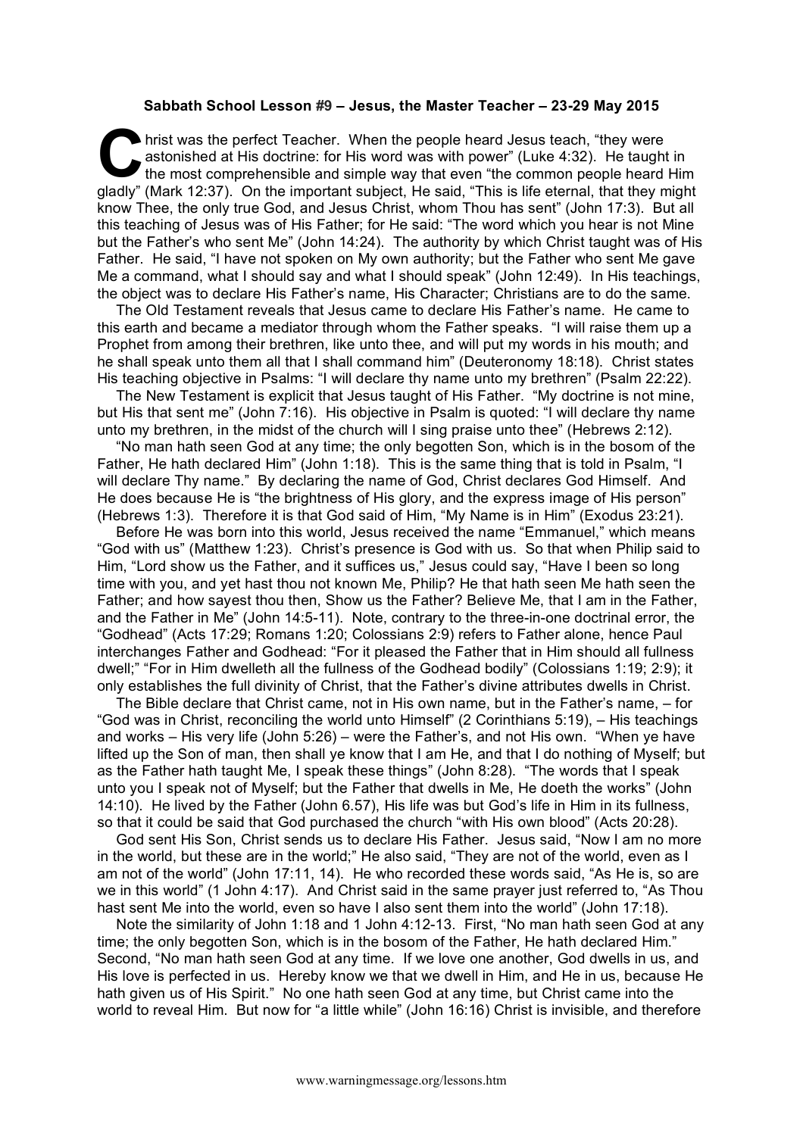## **Sabbath School Lesson #9 – Jesus, the Master Teacher – 23-29 May 2015**

hrist was the perfect Teacher. When the people heard Jesus teach, "they were astonished at His doctrine: for His word was with power" (Luke 4:32). He taught in the most comprehensible and simple way that even "the common people heard Him It hist was the perfect Teacher. When the people heard Jesus teach, "they were astonished at His doctrine: for His word was with power" (Luke 4:32). He taught in the most comprehensible and simple way that even "the common know Thee, the only true God, and Jesus Christ, whom Thou has sent" (John 17:3). But all this teaching of Jesus was of His Father; for He said: "The word which you hear is not Mine but the Father's who sent Me" (John 14:24). The authority by which Christ taught was of His Father. He said, "I have not spoken on My own authority; but the Father who sent Me gave Me a command, what I should say and what I should speak" (John 12:49). In His teachings, the object was to declare His Father's name, His Character; Christians are to do the same.

The Old Testament reveals that Jesus came to declare His Father's name. He came to this earth and became a mediator through whom the Father speaks. "I will raise them up a Prophet from among their brethren, like unto thee, and will put my words in his mouth; and he shall speak unto them all that I shall command him" (Deuteronomy 18:18). Christ states His teaching objective in Psalms: "I will declare thy name unto my brethren" (Psalm 22:22).

The New Testament is explicit that Jesus taught of His Father. "My doctrine is not mine, but His that sent me" (John 7:16). His objective in Psalm is quoted: "I will declare thy name unto my brethren, in the midst of the church will I sing praise unto thee" (Hebrews 2:12).

"No man hath seen God at any time; the only begotten Son, which is in the bosom of the Father, He hath declared Him" (John 1:18). This is the same thing that is told in Psalm, "I will declare Thy name." By declaring the name of God, Christ declares God Himself. And He does because He is "the brightness of His glory, and the express image of His person" (Hebrews 1:3). Therefore it is that God said of Him, "My Name is in Him" (Exodus 23:21).

Before He was born into this world, Jesus received the name "Emmanuel," which means "God with us" (Matthew 1:23). Christ's presence is God with us. So that when Philip said to Him, "Lord show us the Father, and it suffices us," Jesus could say, "Have I been so long time with you, and yet hast thou not known Me, Philip? He that hath seen Me hath seen the Father; and how sayest thou then, Show us the Father? Believe Me, that I am in the Father, and the Father in Me" (John 14:5-11). Note, contrary to the three-in-one doctrinal error, the "Godhead" (Acts 17:29; Romans 1:20; Colossians 2:9) refers to Father alone, hence Paul interchanges Father and Godhead: "For it pleased the Father that in Him should all fullness dwell;" "For in Him dwelleth all the fullness of the Godhead bodily" (Colossians 1:19; 2:9); it only establishes the full divinity of Christ, that the Father's divine attributes dwells in Christ.

The Bible declare that Christ came, not in His own name, but in the Father's name, – for "God was in Christ, reconciling the world unto Himself" (2 Corinthians 5:19), – His teachings and works – His very life (John 5:26) – were the Father's, and not His own. "When ye have lifted up the Son of man, then shall ye know that I am He, and that I do nothing of Myself; but as the Father hath taught Me, I speak these things" (John 8:28). "The words that I speak unto you I speak not of Myself; but the Father that dwells in Me, He doeth the works" (John 14:10). He lived by the Father (John 6.57), His life was but God's life in Him in its fullness, so that it could be said that God purchased the church "with His own blood" (Acts 20:28).

God sent His Son, Christ sends us to declare His Father. Jesus said, "Now I am no more in the world, but these are in the world;" He also said, "They are not of the world, even as I am not of the world" (John 17:11, 14). He who recorded these words said, "As He is, so are we in this world" (1 John 4:17). And Christ said in the same prayer just referred to, "As Thou hast sent Me into the world, even so have I also sent them into the world" (John 17:18).

Note the similarity of John 1:18 and 1 John 4:12-13. First, "No man hath seen God at any time; the only begotten Son, which is in the bosom of the Father, He hath declared Him." Second, "No man hath seen God at any time. If we love one another, God dwells in us, and His love is perfected in us. Hereby know we that we dwell in Him, and He in us, because He hath given us of His Spirit." No one hath seen God at any time, but Christ came into the world to reveal Him. But now for "a little while" (John 16:16) Christ is invisible, and therefore